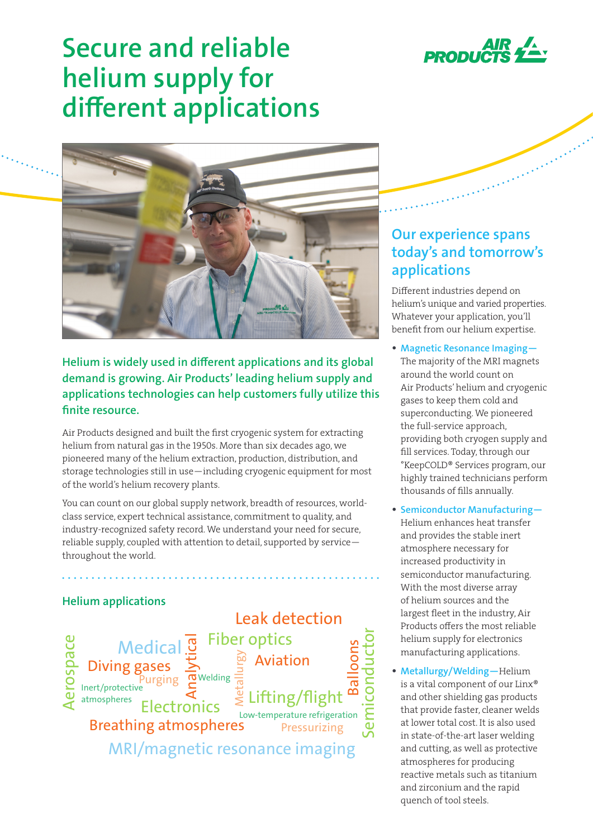

# **Secure and reliable helium supply for different applications**



## **Helium is widely used in different applications and its global demand is growing. Air Products' leading helium supply and applications technologies can help customers fully utilize this finite resource.**

Air Products designed and built the first cryogenic system for extracting helium from natural gas in the 1950s. More than six decades ago, we pioneered many of the helium extraction, production, distribution, and storage technologies still in use—including cryogenic equipment for most of the world's helium recovery plants.

You can count on our global supply network, breadth of resources, worldclass service, expert technical assistance, commitment to quality, and industry-recognized safety record. We understand your need for secure, reliable supply, coupled with attention to detail, supported by service throughout the world.

### **Helium applications**



## **Our experience spans today's and tomorrow's applications**

Different industries depend on helium's unique and varied properties. Whatever your application, you'll benefit from our helium expertise.

- **• Magnetic Resonance Imaging—**
- The majority of the MRI magnets around the world count on Air Products' helium and cryogenic gases to keep them cold and superconducting. We pioneered the full-service approach, providing both cryogen supply and fill services. Today, through our °KeepCOLD® Services program, our highly trained technicians perform thousands of fills annually.
- **• Semiconductor Manufacturing—** Helium enhances heat transfer and provides the stable inert atmosphere necessary for increased productivity in semiconductor manufacturing. With the most diverse array of helium sources and the largest fleet in the industry, Air Products offers the most reliable helium supply for electronics manufacturing applications.
- **• Metallurgy/Welding—**Helium is a vital component of our Linx® and other shielding gas products that provide faster, cleaner welds at lower total cost. It is also used in state-of-the-art laser welding and cutting, as well as protective atmospheres for producing reactive metals such as titanium and zirconium and the rapid quench of tool steels.